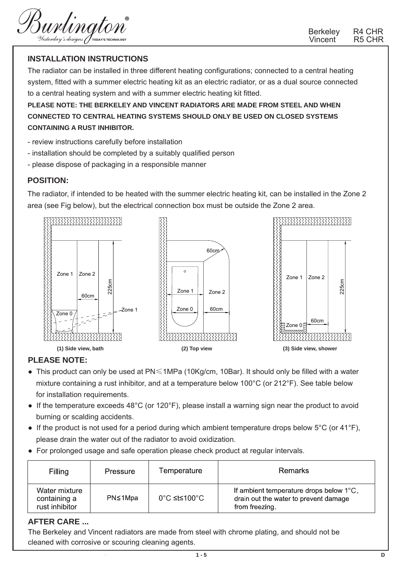Burlington

Berkeley R4 CHR<br>Vincent R5 CHR Vincent<sup>®</sup>

## **INSTALLATION INSTRUCTIONS**

The radiator can be installed in three different heating configurations; connected to a central heating system, fitted with a summer electric heating kit as an electric radiator, or as a dual source connected to a central heating system and with a summer electric heating kit fitted.

**PLEASE NOTE: THE BERKELEY AND VINCENT RADIATORS ARE MADE FROM STEEL AND WHEN CONNECTED TO CENTRAL HEATING SYSTEMS SHOULD ONLY BE USED ON CLOSED SYSTEMS CONTAINING A RUST INHIBITOR.** 

- review instructions carefully before installation
- installation should be completed by a suitably qualified person
- please dispose of packaging in a responsible manner

#### **POSITION:**

The radiator, if intended to be heated with the summer electric heating kit, can be installed in the Zone 2 area (see Fig below), but the electrical connection box must be outside the Zone 2 area.



### **PLEASE NOTE:**

- This product can only be used at PN≤1MPa (10Kg/cm, 10Bar). It should only be filled with a water mixture containing a rust inhibitor, and at a temperature below 100°C (or 212°F). See table below for installation requirements.
- If the temperature exceeds 48°C (or 120°F), please install a warning sign near the product to avoid burning or scalding accidents.
- If the product is not used for a period during which ambient temperature drops below  $5^{\circ}$ C (or 41 $^{\circ}$ F), please drain the water out of the radiator to avoid oxidization.
- For prolonged usage and safe operation please check product at regular intervals.

| Filling                                         | Pressure | Temperature  | Remarks                                                                                            |
|-------------------------------------------------|----------|--------------|----------------------------------------------------------------------------------------------------|
| Water mixture<br>containing a<br>rust inhibitor | PN≤1Mpa  | 0°C ≤t≤100°C | If ambient temperature drops below 1°C,<br>drain out the water to prevent damage<br>from freezing. |

### **AFTER CARE ...**

The Berkeley and Vincent radiators are made from steel with chrome plating, and should not be cleaned with corrosive or scouring cleaning agents.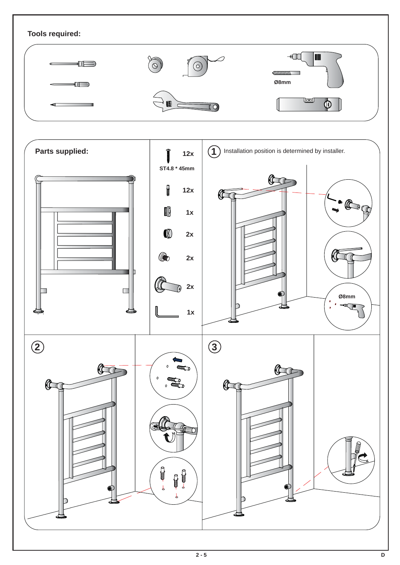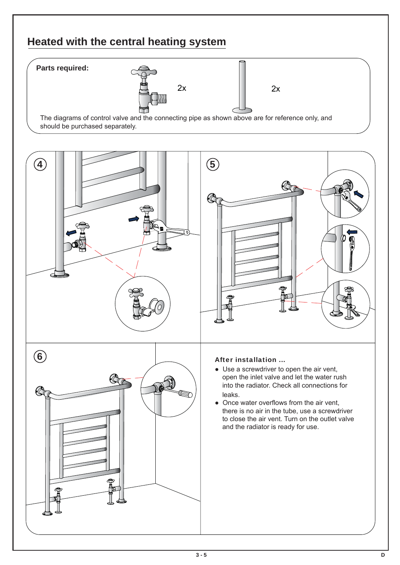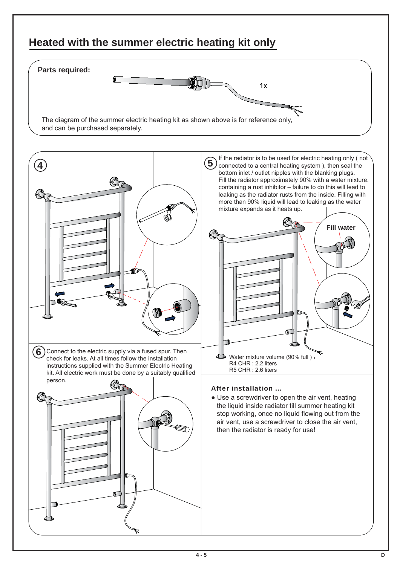